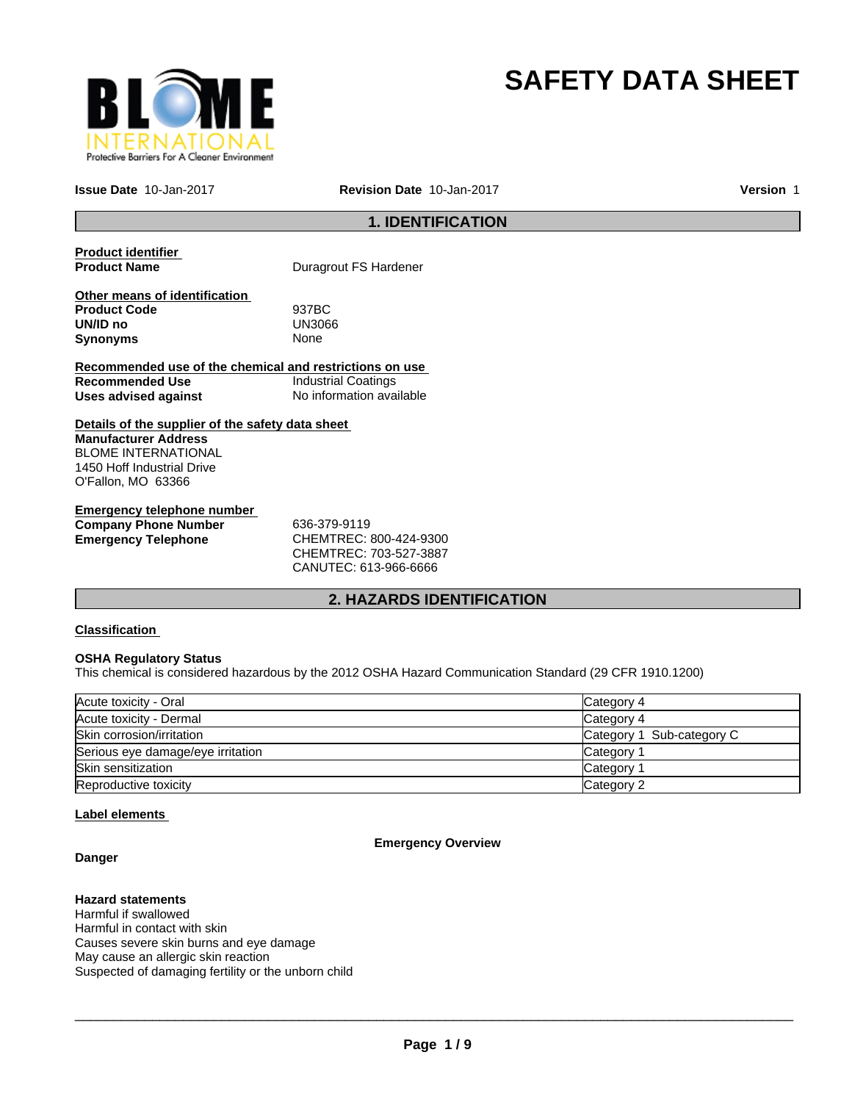

# **SAFETY DATA SHEET**

**Issue Date** 10-Jan-2017 **Revision Date** 10-Jan-2017

**Version** 1

## **1. IDENTIFICATION**

**Product identifier** 

**Puragrout FS Hardener** 

**Other means of identification Product Code** 937BC **UN/ID no** UN30<br>Synonyms None **Synonyms** 

**Recommended use of the chemical and restrictions on use Recommended Use Industrial Coatings**<br> **Uses advised against Internation** No information available **Uses advised against** 

**Details of the supplier of the safety data sheet Manufacturer Address** BLOME INTERNATIONAL 1450 Hoff Industrial Drive O'Fallon, MO 63366

**Emergency telephone number Company Phone Number** 636-379-9119 **Emergency Telephone** CHEMTREC: 800-424-9300

CHEMTREC: 703-527-3887 CANUTEC: 613-966-6666

# **2. HAZARDS IDENTIFICATION**

## **Classification**

#### **OSHA Regulatory Status**

This chemical is considered hazardous by the 2012 OSHA Hazard Communication Standard (29 CFR 1910.1200)

| Acute toxicity - Oral             | Category 4                |
|-----------------------------------|---------------------------|
| Acute toxicity - Dermal           | Category 4                |
| Skin corrosion/irritation         | Category 1 Sub-category C |
| Serious eye damage/eye irritation | Category                  |
| Skin sensitization                | Category                  |
| Reproductive toxicity             | Category 2                |

## **Label elements**

**Danger**

## **Emergency Overview**

**Hazard statements** Harmful if swallowed Harmful in contact with skin Causes severe skin burns and eye damage May cause an allergic skin reaction Suspected of damaging fertility or the unborn child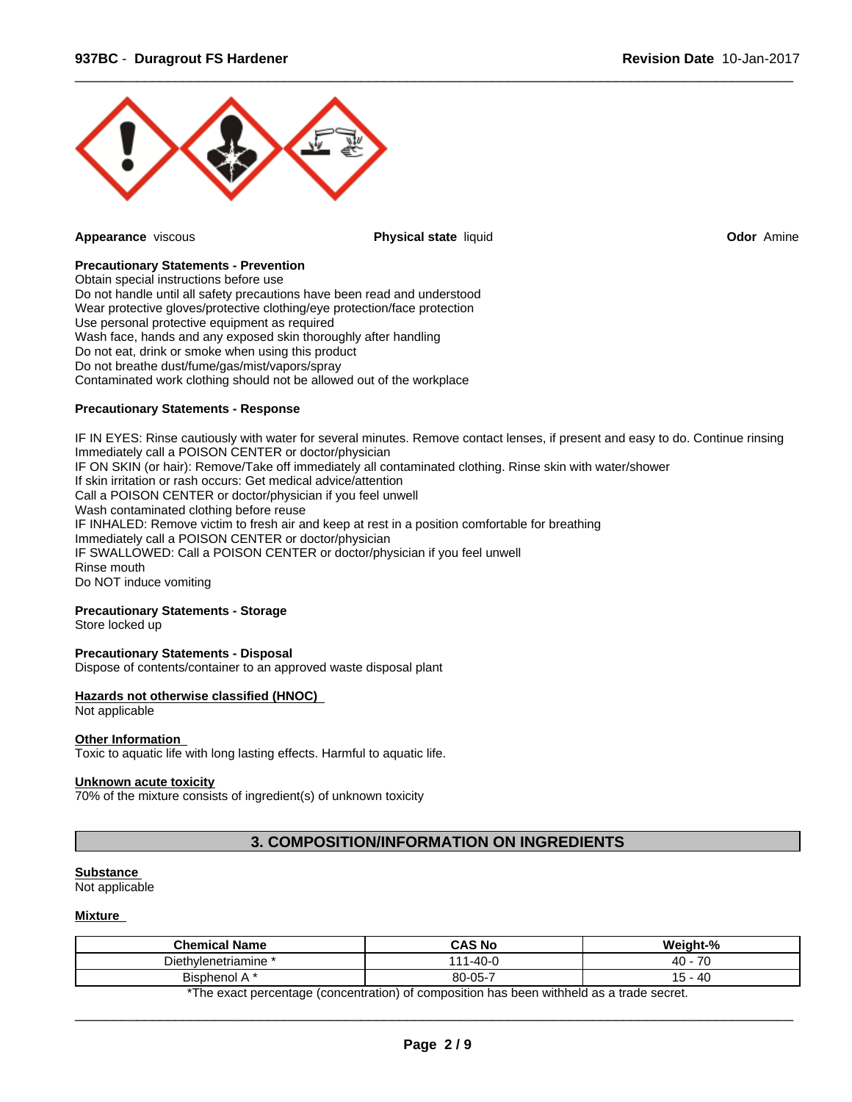

**Appearance** viscous **Physical state** liquid **Odor** Amine

 $\overline{\phantom{a}}$  ,  $\overline{\phantom{a}}$  ,  $\overline{\phantom{a}}$  ,  $\overline{\phantom{a}}$  ,  $\overline{\phantom{a}}$  ,  $\overline{\phantom{a}}$  ,  $\overline{\phantom{a}}$  ,  $\overline{\phantom{a}}$  ,  $\overline{\phantom{a}}$  ,  $\overline{\phantom{a}}$  ,  $\overline{\phantom{a}}$  ,  $\overline{\phantom{a}}$  ,  $\overline{\phantom{a}}$  ,  $\overline{\phantom{a}}$  ,  $\overline{\phantom{a}}$  ,  $\overline{\phantom{a}}$ 

## **Precautionary Statements - Prevention**

Obtain special instructions before use Do not handle until all safety precautions have been read and understood Wear protective gloves/protective clothing/eye protection/face protection Use personal protective equipment as required Wash face, hands and any exposed skin thoroughly after handling Do not eat, drink or smoke when using this product Do not breathe dust/fume/gas/mist/vapors/spray Contaminated work clothing should not be allowed out of the workplace

## **Precautionary Statements - Response**

IF IN EYES: Rinse cautiously with water for several minutes. Remove contact lenses, if present and easy to do. Continue rinsing Immediately call a POISON CENTER or doctor/physician IF ON SKIN (or hair): Remove/Take off immediately all contaminated clothing. Rinse skin with water/shower If skin irritation or rash occurs: Get medical advice/attention Call a POISON CENTER or doctor/physician if you feel unwell Wash contaminated clothing before reuse IF INHALED: Remove victim to fresh air and keep at rest in a position comfortable for breathing Immediately call a POISON CENTER or doctor/physician IF SWALLOWED: Call a POISON CENTER or doctor/physician if you feel unwell Rinse mouth Do NOT induce vomiting

## **Precautionary Statements - Storage**

Store locked up

#### **Precautionary Statements - Disposal**

Dispose of contents/container to an approved waste disposal plant

#### **Hazards not otherwise classified (HNOC)**

## Not applicable

#### **Other Information**

Toxic to aquatic life with long lasting effects. Harmful to aquatic life.

## **Unknown acute toxicity**

70% of the mixture consists of ingredient(s) of unknown toxicity

# **3. COMPOSITION/INFORMATION ON INGREDIENTS**

# **Substance**

Not applicable

## **Mixture**

| $\rightarrow$<br>$-40o$<br>Diethylenetriamine<br>، ۱<br>40.<br>$80 - 05 -$<br>$\overline{\phantom{a}}$<br><b>40</b><br><b>Bisphenol</b><br>$\mathbf{u}$ | <b>Chemical Name</b> | <b>CAS No</b> | Moinht-% |
|---------------------------------------------------------------------------------------------------------------------------------------------------------|----------------------|---------------|----------|
|                                                                                                                                                         |                      |               |          |
|                                                                                                                                                         |                      |               |          |

\*The exact percentage (concentration) of composition has been withheld as a trade secret.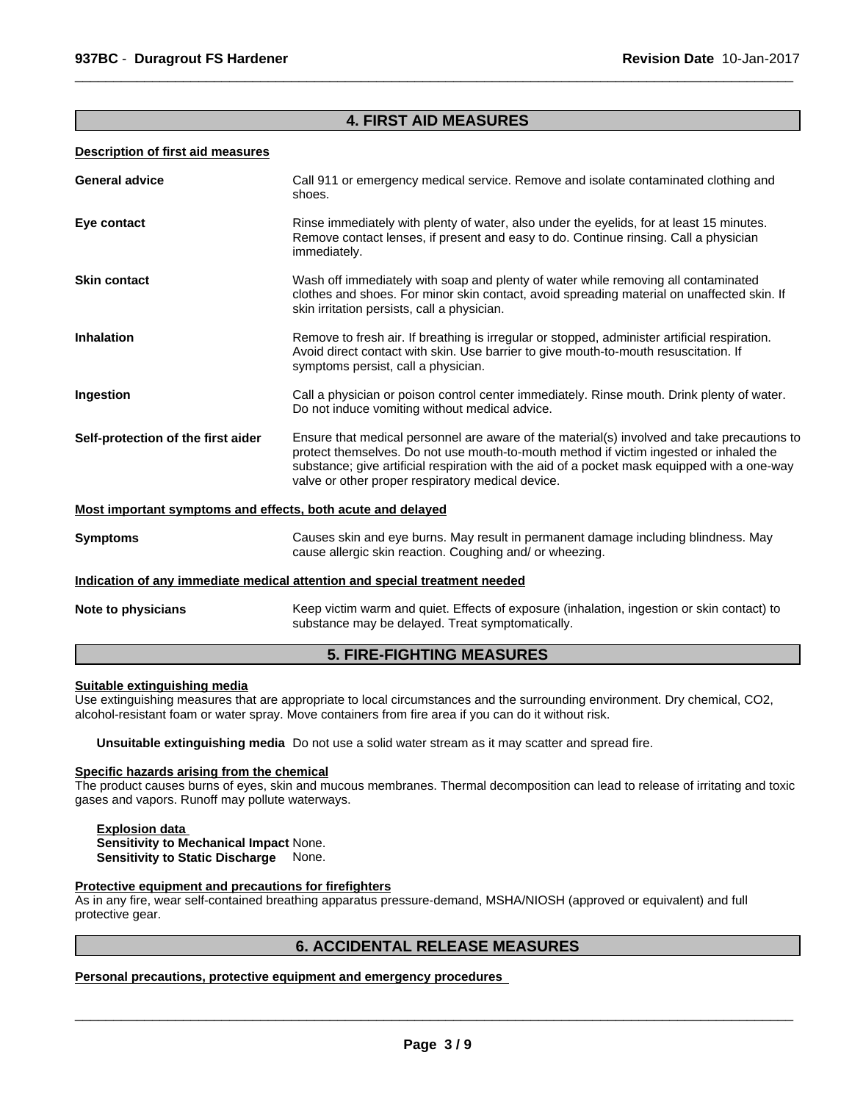## **4. FIRST AID MEASURES**

 $\overline{\phantom{a}}$  ,  $\overline{\phantom{a}}$  ,  $\overline{\phantom{a}}$  ,  $\overline{\phantom{a}}$  ,  $\overline{\phantom{a}}$  ,  $\overline{\phantom{a}}$  ,  $\overline{\phantom{a}}$  ,  $\overline{\phantom{a}}$  ,  $\overline{\phantom{a}}$  ,  $\overline{\phantom{a}}$  ,  $\overline{\phantom{a}}$  ,  $\overline{\phantom{a}}$  ,  $\overline{\phantom{a}}$  ,  $\overline{\phantom{a}}$  ,  $\overline{\phantom{a}}$  ,  $\overline{\phantom{a}}$ 

#### **Description of first aid measures**

| <b>General advice</b>                                       | Call 911 or emergency medical service. Remove and isolate contaminated clothing and<br>shoes.                                                                                                                                                                                                                                              |
|-------------------------------------------------------------|--------------------------------------------------------------------------------------------------------------------------------------------------------------------------------------------------------------------------------------------------------------------------------------------------------------------------------------------|
| Eye contact                                                 | Rinse immediately with plenty of water, also under the eyelids, for at least 15 minutes.<br>Remove contact lenses, if present and easy to do. Continue rinsing. Call a physician<br>immediately.                                                                                                                                           |
| <b>Skin contact</b>                                         | Wash off immediately with soap and plenty of water while removing all contaminated<br>clothes and shoes. For minor skin contact, avoid spreading material on unaffected skin. If<br>skin irritation persists, call a physician.                                                                                                            |
| <b>Inhalation</b>                                           | Remove to fresh air. If breathing is irregular or stopped, administer artificial respiration.<br>Avoid direct contact with skin. Use barrier to give mouth-to-mouth resuscitation. If<br>symptoms persist, call a physician.                                                                                                               |
| Ingestion                                                   | Call a physician or poison control center immediately. Rinse mouth. Drink plenty of water.<br>Do not induce vomiting without medical advice.                                                                                                                                                                                               |
| Self-protection of the first aider                          | Ensure that medical personnel are aware of the material(s) involved and take precautions to<br>protect themselves. Do not use mouth-to-mouth method if victim ingested or inhaled the<br>substance; give artificial respiration with the aid of a pocket mask equipped with a one-way<br>valve or other proper respiratory medical device. |
| Most important symptoms and effects, both acute and delayed |                                                                                                                                                                                                                                                                                                                                            |
| <b>Symptoms</b>                                             | Causes skin and eye burns. May result in permanent damage including blindness. May<br>cause allergic skin reaction. Coughing and/ or wheezing.                                                                                                                                                                                             |
|                                                             | Indication of any immediate medical attention and special treatment needed                                                                                                                                                                                                                                                                 |
| Note to physicians                                          | Keep victim warm and quiet. Effects of exposure (inhalation, ingestion or skin contact) to<br>substance may be delayed. Treat symptomatically.                                                                                                                                                                                             |

## **5. FIRE-FIGHTING MEASURES**

## **Suitable extinguishing media**

Use extinguishing measures that are appropriate to local circumstances and the surrounding environment. Dry chemical, CO2, alcohol-resistant foam or water spray. Move containers from fire area if you can do it without risk.

**Unsuitable extinguishing media** Do not use a solid water stream as it may scatter and spread fire.

#### **Specific hazards arising from the chemical**

The product causes burns of eyes, skin and mucous membranes. Thermal decomposition can lead to release of irritating and toxic gases and vapors. Runoff may pollute waterways.

#### **Explosion data Sensitivity to Mechanical Impact** None. **Sensitivity to Static Discharge** None.

#### **Protective equipment and precautions for firefighters**

As in any fire, wear self-contained breathing apparatus pressure-demand, MSHA/NIOSH (approved or equivalent) and full protective gear.

## **6. ACCIDENTAL RELEASE MEASURES**

**Personal precautions, protective equipment and emergency procedures**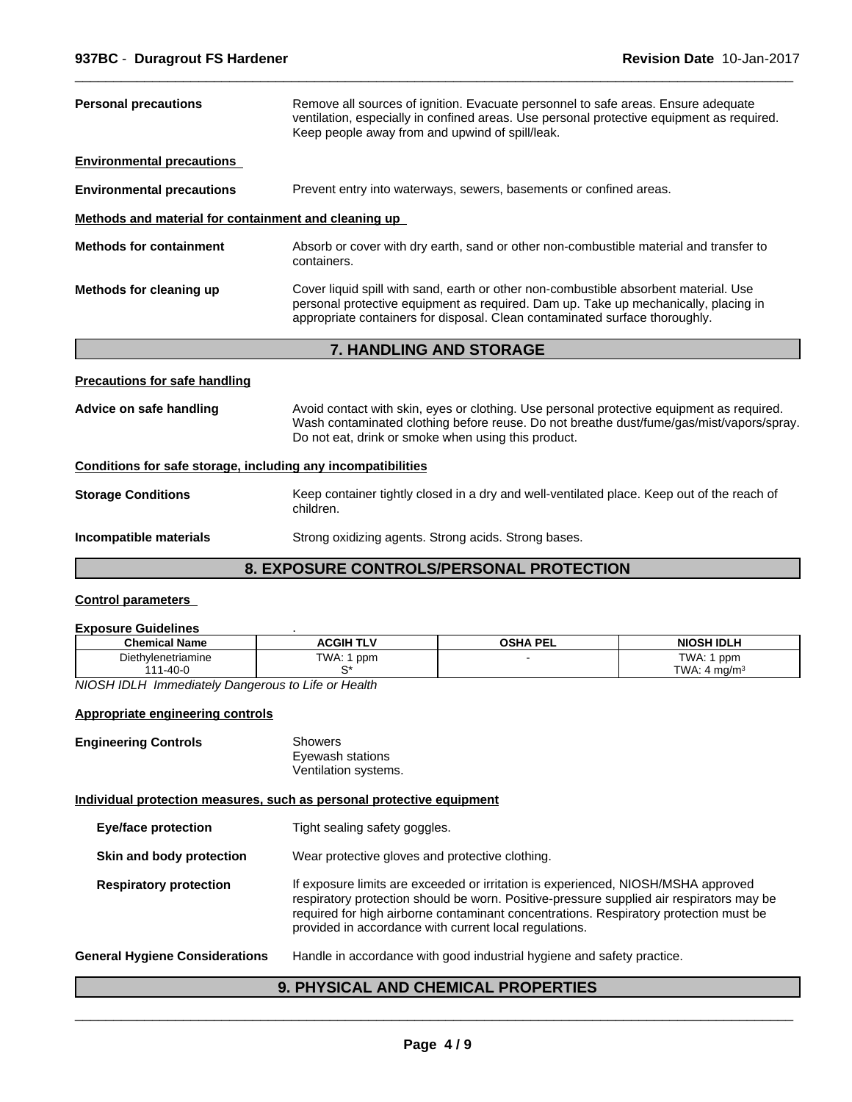| <b>Personal precautions</b>                                  | Remove all sources of ignition. Evacuate personnel to safe areas. Ensure adequate<br>ventilation, especially in confined areas. Use personal protective equipment as required.<br>Keep people away from and upwind of spill/leak.                          |
|--------------------------------------------------------------|------------------------------------------------------------------------------------------------------------------------------------------------------------------------------------------------------------------------------------------------------------|
| <b>Environmental precautions</b>                             |                                                                                                                                                                                                                                                            |
| <b>Environmental precautions</b>                             | Prevent entry into waterways, sewers, basements or confined areas.                                                                                                                                                                                         |
| Methods and material for containment and cleaning up         |                                                                                                                                                                                                                                                            |
| <b>Methods for containment</b>                               | Absorb or cover with dry earth, sand or other non-combustible material and transfer to<br>containers.                                                                                                                                                      |
| Methods for cleaning up                                      | Cover liquid spill with sand, earth or other non-combustible absorbent material. Use<br>personal protective equipment as required. Dam up. Take up mechanically, placing in<br>appropriate containers for disposal. Clean contaminated surface thoroughly. |
|                                                              | 7. HANDLING AND STORAGE                                                                                                                                                                                                                                    |
| <b>Precautions for safe handling</b>                         |                                                                                                                                                                                                                                                            |
| Advice on safe handling                                      | Avoid contact with skin, eyes or clothing. Use personal protective equipment as required.<br>Wash contaminated clothing before reuse. Do not breathe dust/fume/gas/mist/vapors/spray.<br>Do not eat, drink or smoke when using this product.               |
| Conditions for safe storage, including any incompatibilities |                                                                                                                                                                                                                                                            |
| <b>Storage Conditions</b>                                    | Keep container tightly closed in a dry and well-ventilated place. Keep out of the reach of<br>children.                                                                                                                                                    |
| Incompatible materials                                       | Strong oxidizing agents. Strong acids. Strong bases.                                                                                                                                                                                                       |
|                                                              | <b>8. EXPOSURE CONTROLS/PERSONAL PROTECTION</b>                                                                                                                                                                                                            |

 $\overline{\phantom{a}}$  ,  $\overline{\phantom{a}}$  ,  $\overline{\phantom{a}}$  ,  $\overline{\phantom{a}}$  ,  $\overline{\phantom{a}}$  ,  $\overline{\phantom{a}}$  ,  $\overline{\phantom{a}}$  ,  $\overline{\phantom{a}}$  ,  $\overline{\phantom{a}}$  ,  $\overline{\phantom{a}}$  ,  $\overline{\phantom{a}}$  ,  $\overline{\phantom{a}}$  ,  $\overline{\phantom{a}}$  ,  $\overline{\phantom{a}}$  ,  $\overline{\phantom{a}}$  ,  $\overline{\phantom{a}}$ 

## **Control parameters**

## **Exposure Guidelines** .

| <b>Chemical Name</b> | <b>ACGIH TLV</b> | <b>OSHA PEL</b> | <b>NIOSH IDLH</b>           |
|----------------------|------------------|-----------------|-----------------------------|
| Diethylenetriamine   | TWA.<br>ppm      |                 | TWA:<br>ppm                 |
| $1 - 40 - C$         |                  |                 | TWA.<br>4 ma/m <sup>3</sup> |

*NIOSH IDLH Immediately Dangerous to Life or Health*

## **Appropriate engineering controls**

| <b>Engineering Controls</b> | Showers              |  |
|-----------------------------|----------------------|--|
|                             | Eyewash stations     |  |
|                             | Ventilation systems. |  |

#### **Individual protection measures, such as personal protective equipment**

| <b>Eye/face protection</b>            | Tight sealing safety goggles.                                                                                                                                                                                                                                                                                                    |
|---------------------------------------|----------------------------------------------------------------------------------------------------------------------------------------------------------------------------------------------------------------------------------------------------------------------------------------------------------------------------------|
| Skin and body protection              | Wear protective gloves and protective clothing.                                                                                                                                                                                                                                                                                  |
| <b>Respiratory protection</b>         | If exposure limits are exceeded or irritation is experienced, NIOSH/MSHA approved<br>respiratory protection should be worn. Positive-pressure supplied air respirators may be<br>required for high airborne contaminant concentrations. Respiratory protection must be<br>provided in accordance with current local regulations. |
| <b>General Hygiene Considerations</b> | Handle in accordance with good industrial hygiene and safety practice.                                                                                                                                                                                                                                                           |

# **9. PHYSICAL AND CHEMICAL PROPERTIES**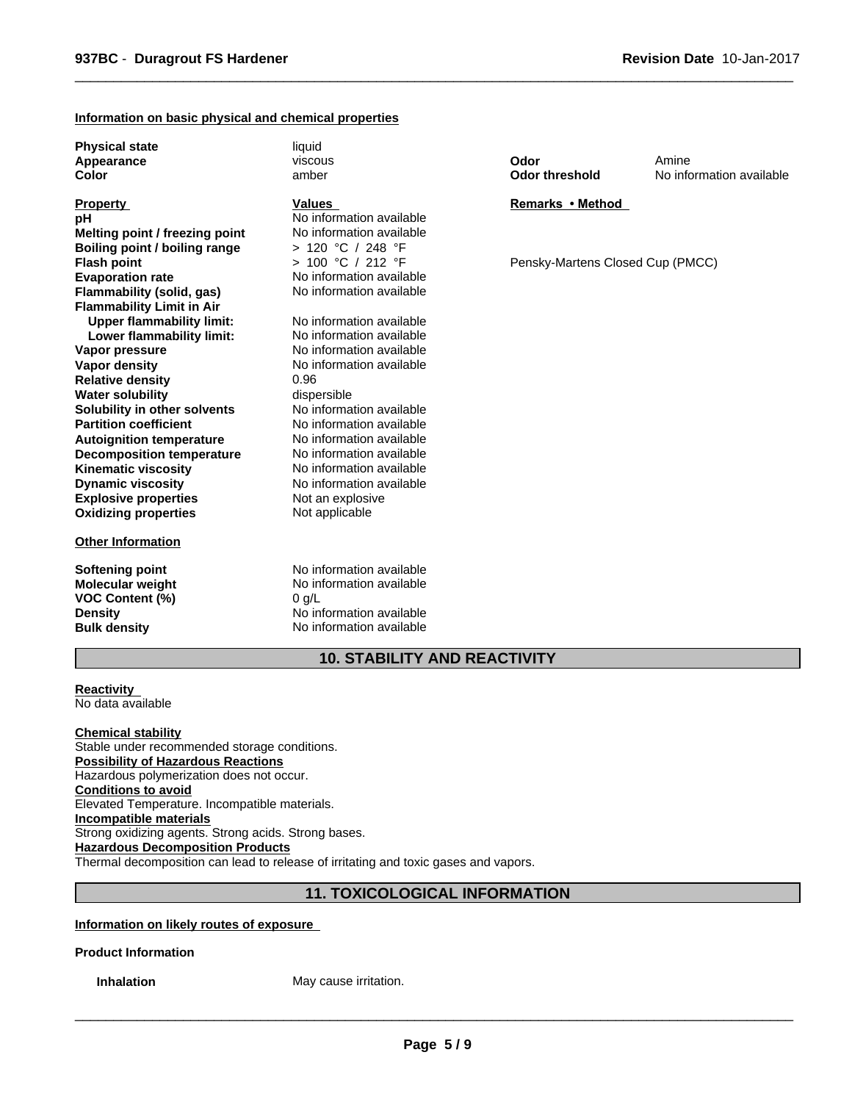#### **Information on basic physical and chemical properties**

**Physical state** liquid **Appearance Color**

## **Explosive properties** Not an explosive<br> **Oxidizing properties** Not applicable **Oxidizing properties Partition coefficient No information available**<br> **Autoignition temperature No information available Autoignition temperature No information available**<br> **Decomposition temperature No information available Flash point Decomposition temperature** No information available<br> **Kinematic viscosity** No information available **Kinematic viscosity Dynamic viscosity** No information available **Property Flammability (solid, gas) Flammability Limit in Air**<br>**Upper flammability limit:** No information available **Upper flammability limit:** No information available<br> **Lower flammability limit:** No information available **pH** No information available **Lower flammability limit: Vapor pressure** No information available **Vapor density** No information available **Melting point / freezing point** No information available **Relative density** 0.96 **Water solubility** dispersible **Solubility in other solvents** No information available **Boiling point / boiling range** > 120 °C / 248 °F

#### **Other Information**

**VOC Content (%)** 0 g/L **Bulk density** No information available

viscous amber

#### **Values**

> 100 °C / 212 °F No information available<br>No information available

**Softening point** No information available **Molecular weight** No information available **Density** No information available **Odor threshold Odor**

 $\overline{\phantom{a}}$  ,  $\overline{\phantom{a}}$  ,  $\overline{\phantom{a}}$  ,  $\overline{\phantom{a}}$  ,  $\overline{\phantom{a}}$  ,  $\overline{\phantom{a}}$  ,  $\overline{\phantom{a}}$  ,  $\overline{\phantom{a}}$  ,  $\overline{\phantom{a}}$  ,  $\overline{\phantom{a}}$  ,  $\overline{\phantom{a}}$  ,  $\overline{\phantom{a}}$  ,  $\overline{\phantom{a}}$  ,  $\overline{\phantom{a}}$  ,  $\overline{\phantom{a}}$  ,  $\overline{\phantom{a}}$ 

No information available Amine

## **Remarks•Method**

Pensky-Martens Closed Cup (PMCC)

# **10. STABILITY AND REACTIVITY**

**Reactivity**  No data available

#### **Chemical stability**

Stable under recommended storage conditions. **Possibility of Hazardous Reactions** Hazardous polymerization does not occur. **Conditions to avoid** Elevated Temperature. Incompatible materials. **Incompatible materials** Strong oxidizing agents. Strong acids. Strong bases. **Hazardous Decomposition Products** Thermal decomposition can lead to release of irritating and toxic gases and vapors.

## **11. TOXICOLOGICAL INFORMATION**

**Information on likely routes of exposure** 

**Product Information**

**Inhalation** May cause irritation.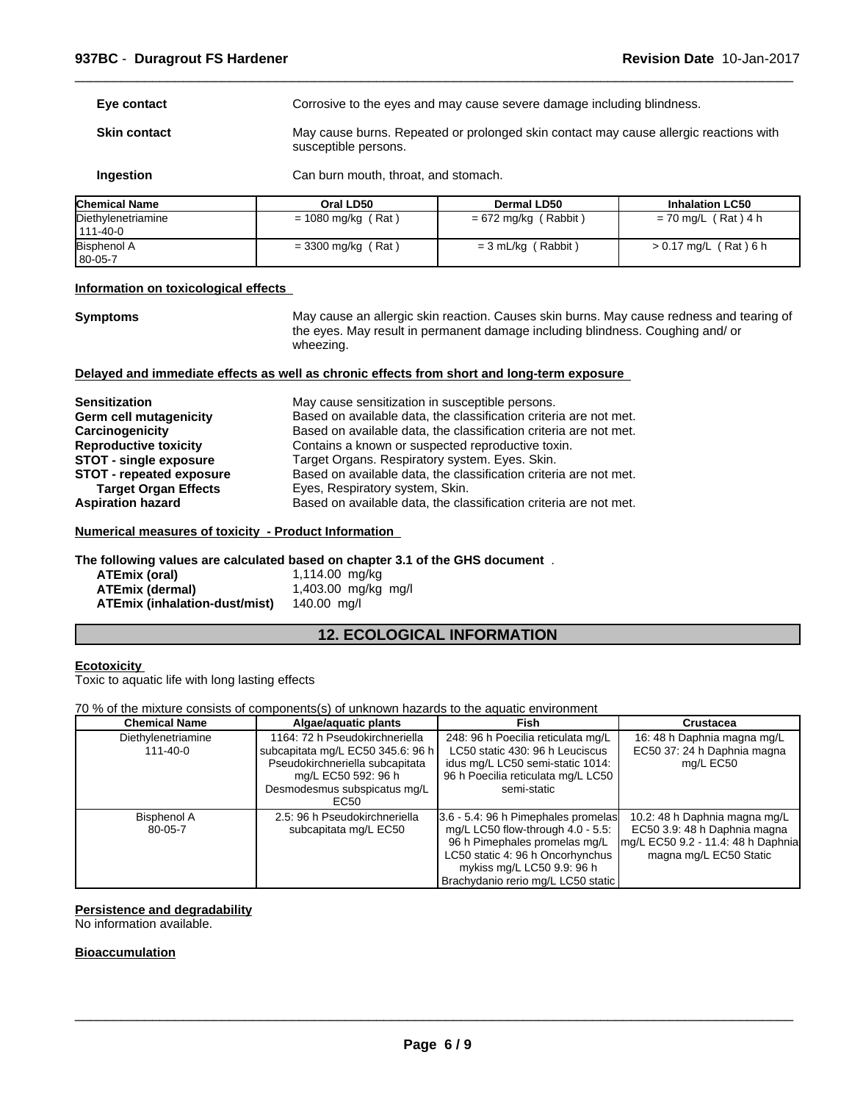| Eve contact         | Corrosive to the eyes and may cause severe damage including blindness.                                        |
|---------------------|---------------------------------------------------------------------------------------------------------------|
| <b>Skin contact</b> | May cause burns. Repeated or prolonged skin contact may cause allergic reactions with<br>susceptible persons. |
| <b>Ingestion</b>    | Can burn mouth, throat, and stomach.                                                                          |

| <b>Chemical Name</b>             | Oral LD50            | Dermal LD50            | <b>Inhalation LC50</b> |
|----------------------------------|----------------------|------------------------|------------------------|
| Diethylenetriamine<br>111-40-0   | $= 1080$ mg/kg (Rat) | $= 672$ mg/kg (Rabbit) | $= 70$ mg/L (Rat) 4 h  |
| <b>Bisphenol A</b><br>$ 80-05-7$ | $=$ 3300 mg/kg (Rat) | $=$ 3 mL/kg (Rabbit)   | > 0.17 mg/L (Rat) 6 h  |

#### **Information on toxicological effects**

**Symptoms** May cause an allergic skin reaction. Causes skin burns. May cause redness and tearing of the eyes. May result in permanent damage including blindness. Coughing and/ or wheezing.

 $\overline{\phantom{a}}$  ,  $\overline{\phantom{a}}$  ,  $\overline{\phantom{a}}$  ,  $\overline{\phantom{a}}$  ,  $\overline{\phantom{a}}$  ,  $\overline{\phantom{a}}$  ,  $\overline{\phantom{a}}$  ,  $\overline{\phantom{a}}$  ,  $\overline{\phantom{a}}$  ,  $\overline{\phantom{a}}$  ,  $\overline{\phantom{a}}$  ,  $\overline{\phantom{a}}$  ,  $\overline{\phantom{a}}$  ,  $\overline{\phantom{a}}$  ,  $\overline{\phantom{a}}$  ,  $\overline{\phantom{a}}$ 

#### **Delayed and immediate effects as well as chronic effects from short and long-term exposure**

| <b>Sensitization</b>          | May cause sensitization in susceptible persons.                   |
|-------------------------------|-------------------------------------------------------------------|
| Germ cell mutagenicity        | Based on available data, the classification criteria are not met. |
| Carcinogenicity               | Based on available data, the classification criteria are not met. |
| <b>Reproductive toxicity</b>  | Contains a known or suspected reproductive toxin.                 |
| <b>STOT - single exposure</b> | Target Organs. Respiratory system. Eyes. Skin.                    |
| STOT - repeated exposure      | Based on available data, the classification criteria are not met. |
| <b>Target Organ Effects</b>   | Eyes, Respiratory system, Skin.                                   |
| <b>Aspiration hazard</b>      | Based on available data, the classification criteria are not met. |

#### **Numerical measures of toxicity - Product Information**

## **The following values are calculated based on chapter 3.1 of the GHS document** .

| ATEmix (oral)                 | 1,114.00 mg/kg      |
|-------------------------------|---------------------|
| ATEmix (dermal)               | 1,403.00 mg/kg mg/l |
| ATEmix (inhalation-dust/mist) | 140.00 mg/l         |

# **12. ECOLOGICAL INFORMATION**

#### **Ecotoxicity**

Toxic to aquatic life with long lasting effects

#### 70 % of the mixture consists of components(s) of unknown hazards to the aquatic environment

| <b>Chemical Name</b>                 | Algae/aquatic plants                                                                                                                                                  | Fish                                                                                                                                                                                                                 | Crustacea                                                                                                                     |
|--------------------------------------|-----------------------------------------------------------------------------------------------------------------------------------------------------------------------|----------------------------------------------------------------------------------------------------------------------------------------------------------------------------------------------------------------------|-------------------------------------------------------------------------------------------------------------------------------|
| Diethylenetriamine<br>$111 - 40 - 0$ | 1164: 72 h Pseudokirchneriella<br>subcapitata mg/L EC50 345.6: 96 h<br>Pseudokirchneriella subcapitata<br>mg/L EC50 592: 96 h<br>Desmodesmus subspicatus mg/L<br>EC50 | 248: 96 h Poecilia reticulata mg/L<br>LC50 static 430: 96 h Leuciscus<br>idus mg/L LC50 semi-static 1014:<br>96 h Poecilia reticulata mg/L LC50<br>semi-static                                                       | 16: 48 h Daphnia magna mg/L<br>EC50 37: 24 h Daphnia magna<br>mg/L EC50                                                       |
| <b>Bisphenol A</b><br>80-05-7        | 2.5: 96 h Pseudokirchneriella<br>subcapitata mg/L EC50                                                                                                                | 3.6 - 5.4: 96 h Pimephales promelas<br>mg/L LC50 flow-through $4.0 - 5.5$ :<br>96 h Pimephales promelas mg/L<br>LC50 static 4: 96 h Oncorhynchus<br>mykiss mg/L LC50 9.9: 96 h<br>Brachydanio rerio mg/L LC50 static | 10.2: 48 h Daphnia magna mg/L<br>EC50 3.9: 48 h Daphnia magna<br>mg/L EC50 9.2 - 11.4: 48 h Daphnia<br>magna mg/L EC50 Static |

## **Persistence and degradability**

No information available.

## **Bioaccumulation**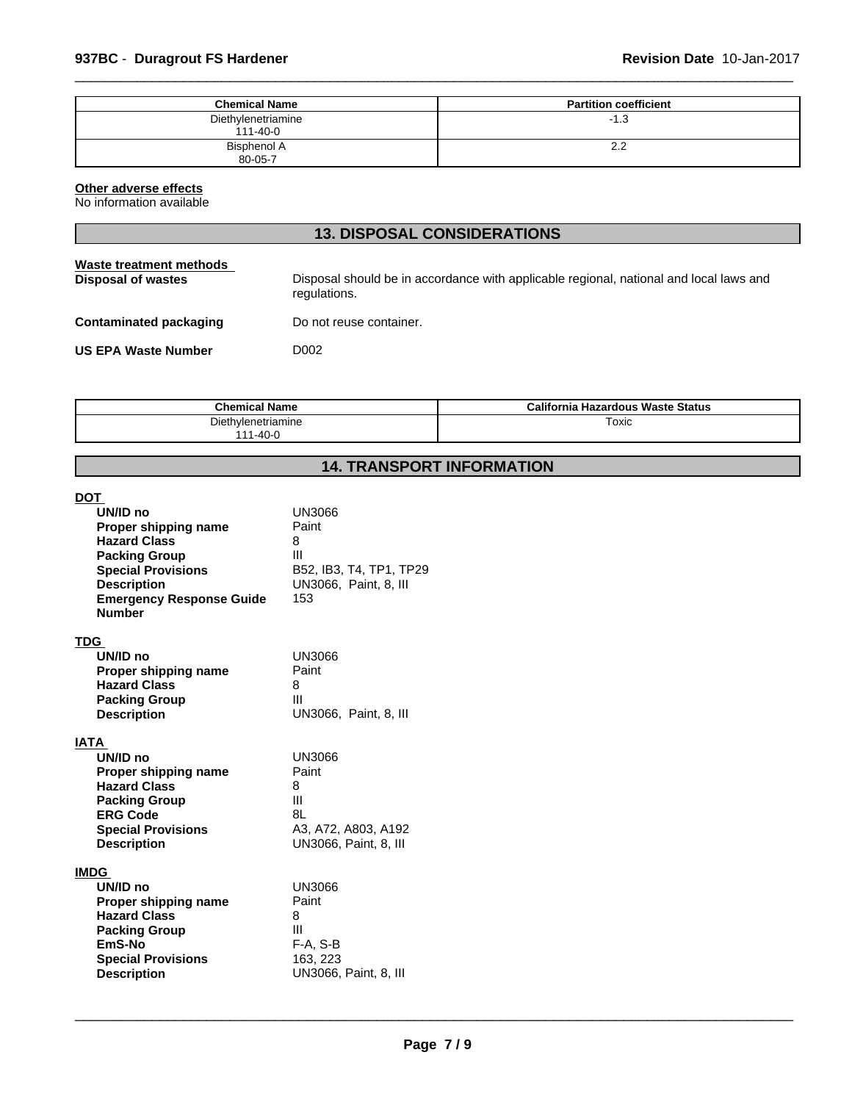| <b>Chemical Name</b>                 | <b>Partition coefficient</b> |
|--------------------------------------|------------------------------|
| Diethylenetriamine<br>$111 - 40 - 0$ | -1.3                         |
| Bisphenol A<br>80-05-7               | 2.2                          |

 $\overline{\phantom{a}}$  ,  $\overline{\phantom{a}}$  ,  $\overline{\phantom{a}}$  ,  $\overline{\phantom{a}}$  ,  $\overline{\phantom{a}}$  ,  $\overline{\phantom{a}}$  ,  $\overline{\phantom{a}}$  ,  $\overline{\phantom{a}}$  ,  $\overline{\phantom{a}}$  ,  $\overline{\phantom{a}}$  ,  $\overline{\phantom{a}}$  ,  $\overline{\phantom{a}}$  ,  $\overline{\phantom{a}}$  ,  $\overline{\phantom{a}}$  ,  $\overline{\phantom{a}}$  ,  $\overline{\phantom{a}}$ 

#### **Other adverse effects**

No information available

| <b>13. DISPOSAL CONSIDERATIONS</b>            |                                                                                                        |  |  |  |
|-----------------------------------------------|--------------------------------------------------------------------------------------------------------|--|--|--|
| Waste treatment methods<br>Disposal of wastes | Disposal should be in accordance with applicable regional, national and local laws and<br>regulations. |  |  |  |
| Contaminated packaging                        | Do not reuse container.                                                                                |  |  |  |
| <b>US EPA Waste Number</b>                    | D002                                                                                                   |  |  |  |
|                                               |                                                                                                        |  |  |  |

| Chamics.<br>Name      | California<br>। Hazardous Waste Status |
|-----------------------|----------------------------------------|
| hvlenetriamine<br>t۵۱ | Toxic                                  |
| $1 - 40 - C$          |                                        |

# **14. TRANSPORT INFORMATION**

| <b>DOT</b><br>UN/ID no                                | UN3066                                              |
|-------------------------------------------------------|-----------------------------------------------------|
| Proper shipping name                                  | Paint                                               |
| <b>Hazard Class</b><br><b>Packing Group</b>           | 8<br>Ш                                              |
| <b>Special Provisions</b>                             | B52, IB3, T4, TP1, TP29                             |
| <b>Description</b><br><b>Emergency Response Guide</b> | UN3066, Paint, 8, III<br>153                        |
| <b>Number</b>                                         |                                                     |
| <b>TDG</b>                                            |                                                     |
| UN/ID no                                              | UN3066                                              |
| Proper shipping name<br><b>Hazard Class</b>           | Paint<br>8                                          |
| <b>Packing Group</b>                                  | Ш                                                   |
| <b>Description</b>                                    | UN3066, Paint, 8, III                               |
| IATA                                                  |                                                     |
| UN/ID no                                              | <b>UN3066</b><br>Paint                              |
| Proper shipping name<br><b>Hazard Class</b>           | 8                                                   |
| <b>Packing Group</b>                                  | Ш                                                   |
| <b>ERG Code</b>                                       | 8L                                                  |
| <b>Special Provisions</b><br><b>Description</b>       | A3, A72, A803, A192<br><b>UN3066, Paint, 8, III</b> |
|                                                       |                                                     |
| <b>IMDG</b>                                           |                                                     |
| UN/ID no<br>Proper shipping name                      | <b>UN3066</b><br>Paint                              |
| <b>Hazard Class</b>                                   | 8                                                   |
| <b>Packing Group</b>                                  | Ш                                                   |
| EmS-No<br><b>Special Provisions</b>                   | $F-A, S-B$<br>163, 223                              |
| <b>Description</b>                                    | UN3066, Paint, 8, III                               |
|                                                       |                                                     |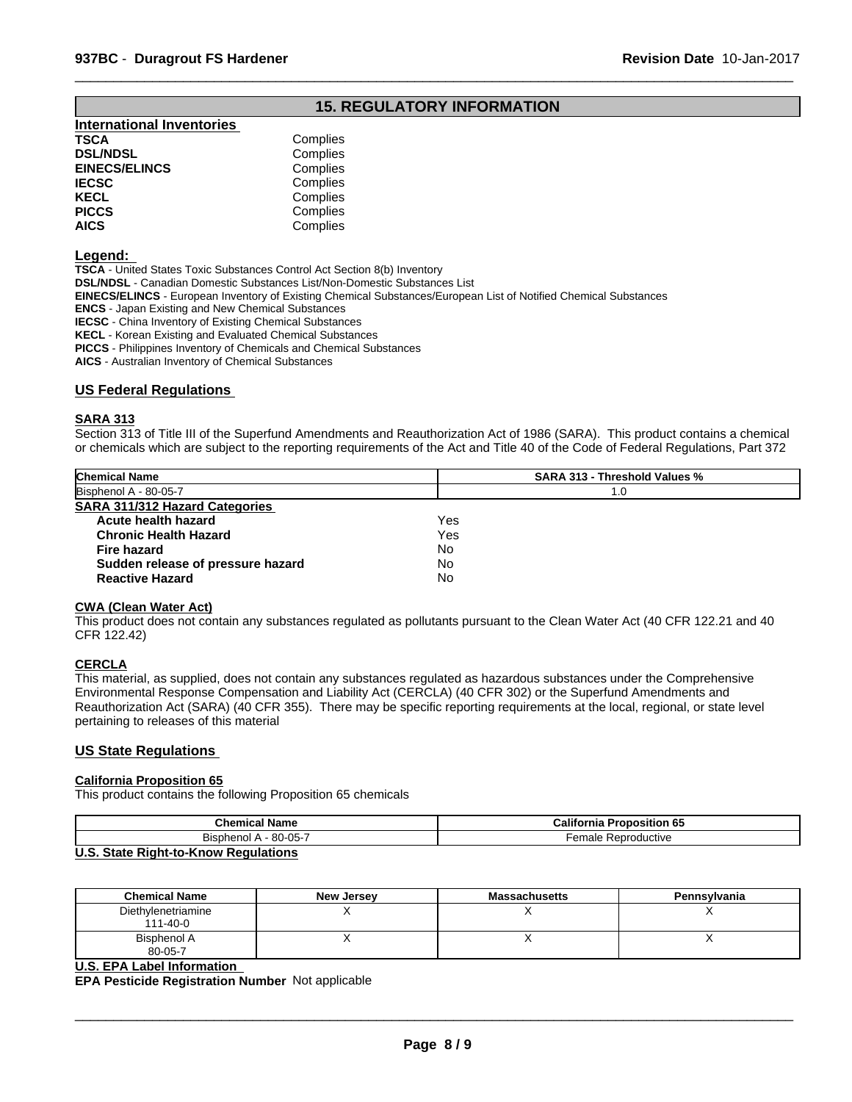# **15. REGULATORY INFORMATION**

 $\overline{\phantom{a}}$  ,  $\overline{\phantom{a}}$  ,  $\overline{\phantom{a}}$  ,  $\overline{\phantom{a}}$  ,  $\overline{\phantom{a}}$  ,  $\overline{\phantom{a}}$  ,  $\overline{\phantom{a}}$  ,  $\overline{\phantom{a}}$  ,  $\overline{\phantom{a}}$  ,  $\overline{\phantom{a}}$  ,  $\overline{\phantom{a}}$  ,  $\overline{\phantom{a}}$  ,  $\overline{\phantom{a}}$  ,  $\overline{\phantom{a}}$  ,  $\overline{\phantom{a}}$  ,  $\overline{\phantom{a}}$ 

| <b>International Inventories</b> |          |
|----------------------------------|----------|
| TSCA                             | Complies |
| <b>DSL/NDSL</b>                  | Complies |
| <b>EINECS/ELINCS</b>             | Complies |
| IECSC                            | Complies |
| KECL                             | Complies |
| PICCS                            | Complies |
| AICS                             | Complies |
|                                  |          |

#### **Legend:**

**TSCA** - United States Toxic Substances Control Act Section 8(b) Inventory

**DSL/NDSL** - Canadian Domestic Substances List/Non-Domestic Substances List

**EINECS/ELINCS** - European Inventory of Existing Chemical Substances/European List of Notified Chemical Substances

**ENCS** - Japan Existing and New Chemical Substances

**IECSC** - China Inventory of Existing Chemical Substances

**KECL** - Korean Existing and Evaluated Chemical Substances

**PICCS** - Philippines Inventory of Chemicals and Chemical Substances

**AICS** - Australian Inventory of Chemical Substances

#### **US Federal Regulations**

#### **SARA 313**

Section 313 of Title III of the Superfund Amendments and Reauthorization Act of 1986 (SARA). This product contains a chemical or chemicals which are subject to the reporting requirements of the Act and Title 40 of the Code of Federal Regulations, Part 372

| Bisphenol A - 80-05-7<br>1.0            |  |
|-----------------------------------------|--|
|                                         |  |
| <b>SARA 311/312 Hazard Categories</b>   |  |
| Yes<br>Acute health hazard              |  |
| Yes<br><b>Chronic Health Hazard</b>     |  |
| No<br><b>Fire hazard</b>                |  |
| No<br>Sudden release of pressure hazard |  |
| <b>No</b><br><b>Reactive Hazard</b>     |  |

#### **CWA (Clean Water Act)**

This product does not contain any substances regulated as pollutants pursuant to the Clean Water Act (40 CFR 122.21 and 40 CFR 122.42)

#### **CERCLA**

This material, as supplied, does not contain any substances regulated as hazardous substances under the Comprehensive Environmental Response Compensation and Liability Act (CERCLA) (40 CFR 302) or the Superfund Amendments and Reauthorization Act (SARA) (40 CFR 355). There may be specific reporting requirements at the local, regional, or state level pertaining to releases of this material

#### **US State Regulations**

#### **California Proposition 65**

This product contains the following Proposition 65 chemicals

| <b>Chemical Name</b>                 | California<br><b>Proposition 65</b> |
|--------------------------------------|-------------------------------------|
| $-80-05-7$<br>ומחי<br><b>Bispher</b> | Reproductive<br>emale               |
| $\mathbf{H} \cdot \mathbf{A}$        |                                     |

#### **U.S. State Right-to-Know Regulations**

| <b>Chemical Name</b>                 | <b>New Jersey</b> | <b>Massachusetts</b> | Pennsylvania |
|--------------------------------------|-------------------|----------------------|--------------|
| Diethylenetriamine<br>$111 - 40 - 0$ |                   |                      |              |
| Bisphenol A<br>80-05-7               |                   |                      |              |

#### **U.S. EPA Label Information**

**EPA Pesticide Registration Number** Not applicable